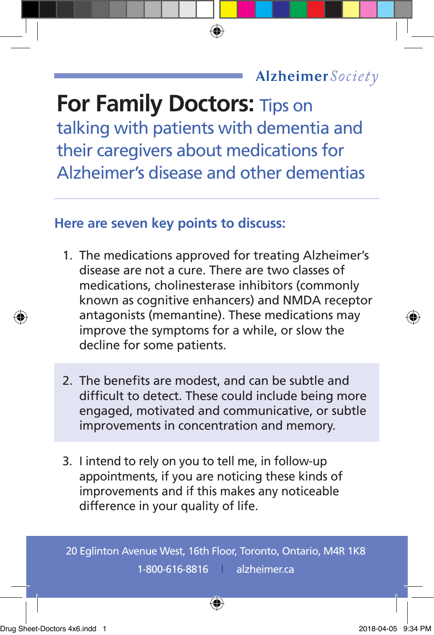## Alzheimer Society

## **For Family Doctors: Tips on**

talking with patients with dementia and their caregivers about medications for Alzheimer's disease and other dementias

## **Here are seven key points to discuss:**

- 1. The medications approved for treating Alzheimer's disease are not a cure. There are two classes of medications, cholinesterase inhibitors (commonly known as cognitive enhancers) and NMDA receptor antagonists (memantine). These medications may improve the symptoms for a while, or slow the decline for some patients.
- 2. The benefits are modest, and can be subtle and difficult to detect. These could include being more engaged, motivated and communicative, or subtle improvements in concentration and memory.
- 3. I intend to rely on you to tell me, in follow-up appointments, if you are noticing these kinds of improvements and if this makes any noticeable difference in your quality of life.

20 Eglinton Avenue West, 16th Floor, Toronto, Ontario, M4R 1K8 1-800-616-8816 | alzheimer.ca